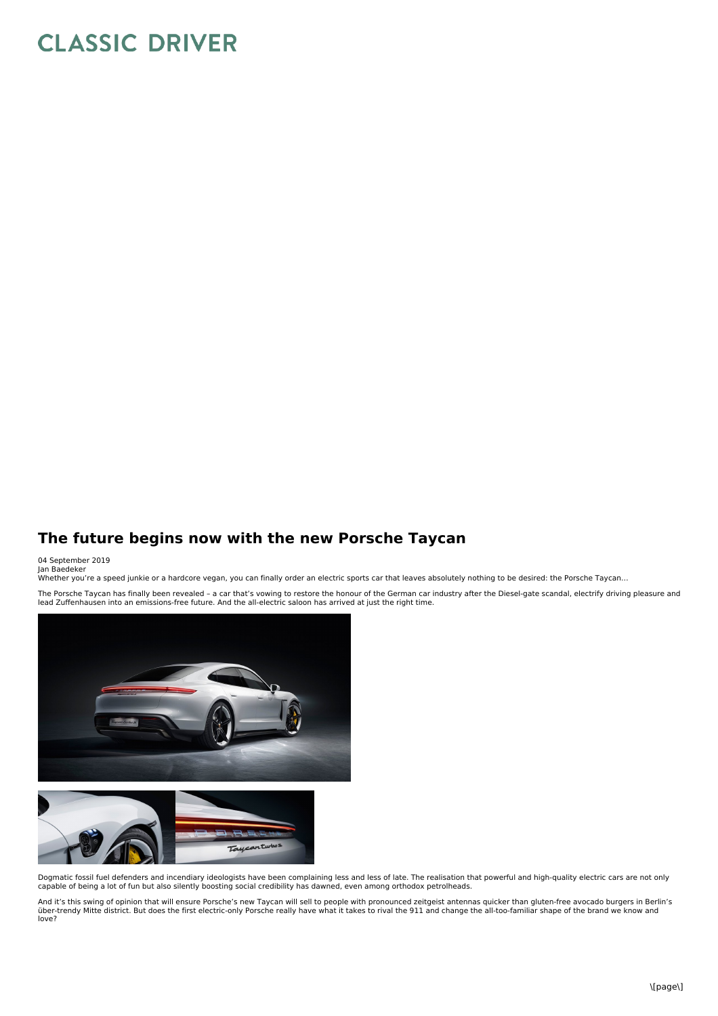## **CLASSIC DRIVER**

## **The future begins now with the new Porsche Taycan**

## 04 September 2019 Jan Baedeker

Whether you're a speed junkie or a hardcore vegan, you can finally order an electric sports car that leaves absolutely nothing to be desired: the Porsche Taycan…

The Porsche Taycan has finally been revealed - a car that's vowing to restore the honour of the German car industry after the Diesel-gate scandal, electrify driving pleasure and lead Zuffenhausen into an emissions-free future. And the all-electric saloon has arrived at just the right time.



Dogmatic fossil fuel defenders and incendiary ideologists have been complaining less and less of late. The realisation that powerful and high-quality electric cars are not only<br>capable of being a lot of fun but also silent

And it's this swing of opinion that will ensure Porsche's new Taycan will sell to people with pronounced zeitgeist antennas quicker than gluten-free avocado burgers in Berlin's<br>über-trendy Mitte district. But does the firs love?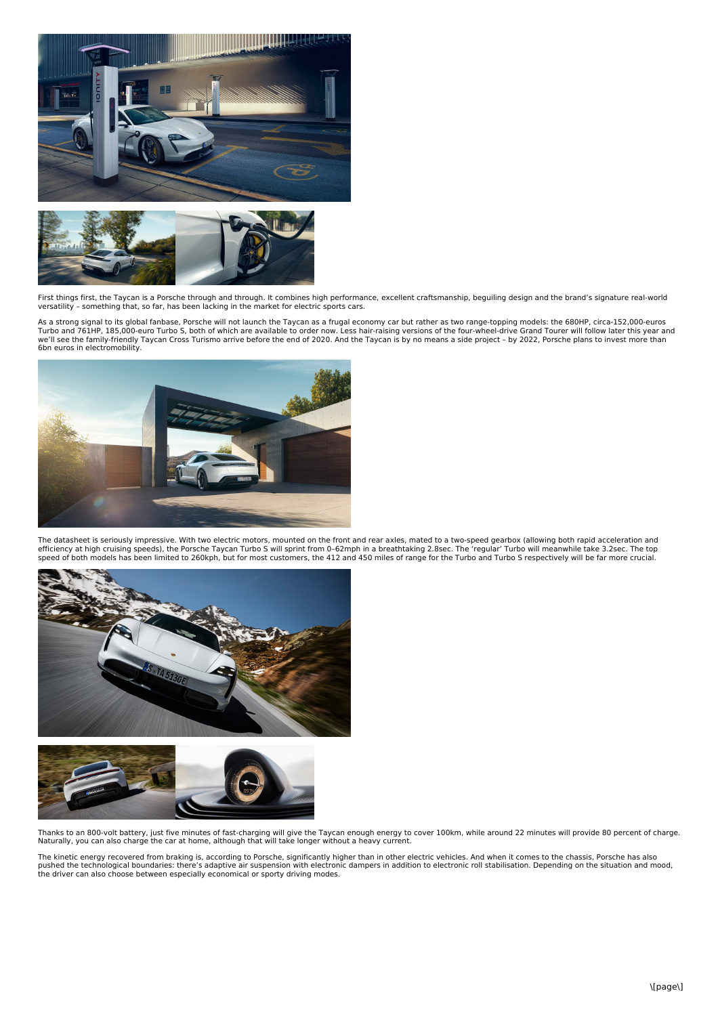



First things first, the Taycan is a Porsche through and through. It combines high performance, excellent craftsmanship, beguiling design and the brand's signature real-world versatility – something that, so far, has been lacking in the market for electric sports cars.

As a strong signal to its global fanbase, Porsche will not launch the Taycan as a frugal economy car but rather as two range-topping models: the 680HP, circa-152,000-euros Turbo and 761HP, 185,000-euro Turbo S, both of which are available to order now. Less hair-raising versions of the four-wheel-drive Grand Tourer will follow later this year and<br>we'll see the family-friendly Taycan Cross Tu 6bn euros in electromobility.



The datasheet is seriously impressive. With two electric motors, mounted on the front and rear axles, mated to a two-speed gearbox (allowing both rapid acceleration and<br>efficiency at high cruising speeds), the Porsche Torb





Thanks to an 800-volt battery, just five minutes of fast-charging will give the Taycan enough energy to cover 100km, while around 22 minutes will provide 80 percent of charge. Naturally, you can also charge the car at home, although that will take longer without a heavy current.

The kinetic energy recovered from braking is, according to Porsche, significantly higher than in other electric vehicles. And when it comes to the chassis, Porsche has also pushed the technological boundaries: there's adaptive air suspension with electronic dampers in addition to electronic roll stabilisation. Depending on the situation and mood,<br>the driver can also choose between especially